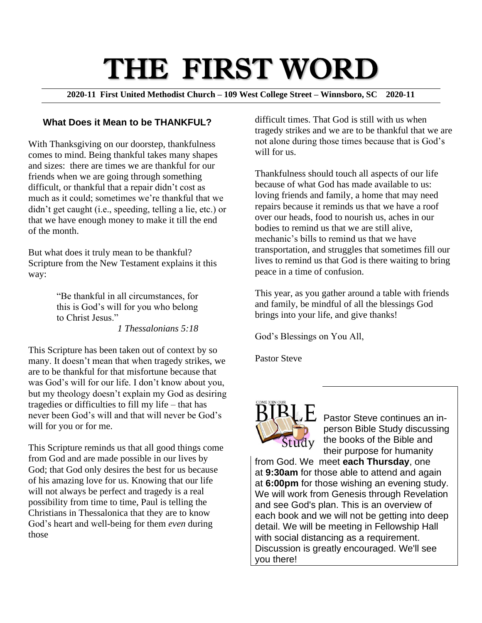# THE FIRST WORD

**2020-11 First United Methodist Church – 109 West College Street – Winnsboro, SC 2020-11**

#### **What Does it Mean to be THANKFUL?**

With Thanksgiving on our doorstep, thankfulness comes to mind. Being thankful takes many shapes and sizes: there are times we are thankful for our friends when we are going through something difficult, or thankful that a repair didn't cost as much as it could; sometimes we're thankful that we didn't get caught (i.e., speeding, telling a lie, etc.) or that we have enough money to make it till the end of the month.

But what does it truly mean to be thankful? Scripture from the New Testament explains it this way:

> "Be thankful in all circumstances, for this is God's will for you who belong to Christ Jesus."

*1 Thessalonians 5:18*

This Scripture has been taken out of context by so many. It doesn't mean that when tragedy strikes, we are to be thankful for that misfortune because that was God's will for our life. I don't know about you, but my theology doesn't explain my God as desiring tragedies or difficulties to fill my life – that has never been God's will and that will never be God's will for you or for me.

This Scripture reminds us that all good things come from God and are made possible in our lives by God; that God only desires the best for us because of his amazing love for us. Knowing that our life will not always be perfect and tragedy is a real possibility from time to time, Paul is telling the Christians in Thessalonica that they are to know God's heart and well-being for them *even* during those

difficult times. That God is still with us when tragedy strikes and we are to be thankful that we are not alone during those times because that is God's will for us.

Thankfulness should touch all aspects of our life because of what God has made available to us: loving friends and family, a home that may need repairs because it reminds us that we have a roof over our heads, food to nourish us, aches in our bodies to remind us that we are still alive, mechanic's bills to remind us that we have transportation, and struggles that sometimes fill our lives to remind us that God is there waiting to bring peace in a time of confusion.

This year, as you gather around a table with friends and family, be mindful of all the blessings God brings into your life, and give thanks!

God's Blessings on You All,

Pastor Steve



Pastor Steve continues an inperson Bible Study discussing the books of the Bible and their purpose for humanity

from God. We meet **each Thursday**, one at **9:30am** for those able to attend and again at **6:00pm** for those wishing an evening study. We will work from Genesis through Revelation and see God's plan. This is an overview of each book and we will not be getting into deep detail. We will be meeting in Fellowship Hall with social distancing as a requirement. Discussion is greatly encouraged. We'll see you there!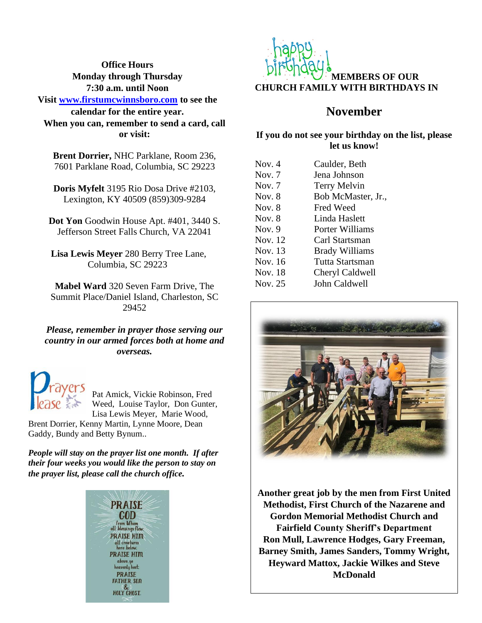**Office Hours Monday through Thursday 7:30 a.m. until Noon**

**Visit [www.firstumcwinnsboro.com](http://www.firstumcwinnsboro.com/) to see the calendar for the entire year. When you can, remember to send a card, call or visit:**

**Brent Dorrier,** NHC Parklane, Room 236, 7601 Parklane Road, Columbia, SC 29223

**Doris Myfelt** 3195 Rio Dosa Drive #2103, Lexington, KY 40509 (859)309-9284

**Dot Yon** Goodwin House Apt. #401, 3440 S. Jefferson Street Falls Church, VA 22041

**Lisa Lewis Meyer** 280 Berry Tree Lane, Columbia, SC 29223

**Mabel Ward** 320 Seven Farm Drive, The Summit Place/Daniel Island, Charleston, SC 29452

*Please, remember in prayer those serving our country in our armed forces both at home and overseas.*



Pat Amick, Vickie Robinson, Fred Weed, Louise Taylor, Don Gunter, Lisa Lewis Meyer, Marie Wood,

Brent Dorrier, Kenny Martin, Lynne Moore, Dean Gaddy, Bundy and Betty Bynum..

*People will stay on the prayer list one month. If after their four weeks you would like the person to stay on the prayer list, please call the church office.*





## **November**

#### **If you do not see your birthday on the list, please let us know!**

| Nov. $4$ | Caulder, Beth         |
|----------|-----------------------|
| Nov. $7$ | Jena Johnson          |
| Nov. $7$ | <b>Terry Melvin</b>   |
| Nov. $8$ | Bob McMaster, Jr.,    |
| Nov. $8$ | Fred Weed             |
| Nov. $8$ | Linda Haslett         |
| Nov. $9$ | Porter Williams       |
| Nov. 12  | Carl Startsman        |
| Nov. 13  | <b>Brady Williams</b> |
| Nov. 16  | Tutta Startsman       |
| Nov. 18  | Cheryl Caldwell       |
| Nov. 25  | John Caldwell         |



**Another great job by the men from First United Methodist, First Church of the Nazarene and Gordon Memorial Methodist Church and Fairfield County Sheriff's Department Ron Mull, Lawrence Hodges, Gary Freeman, Barney Smith, James Sanders, Tommy Wright, Heyward Mattox, Jackie Wilkes and Steve McDonald**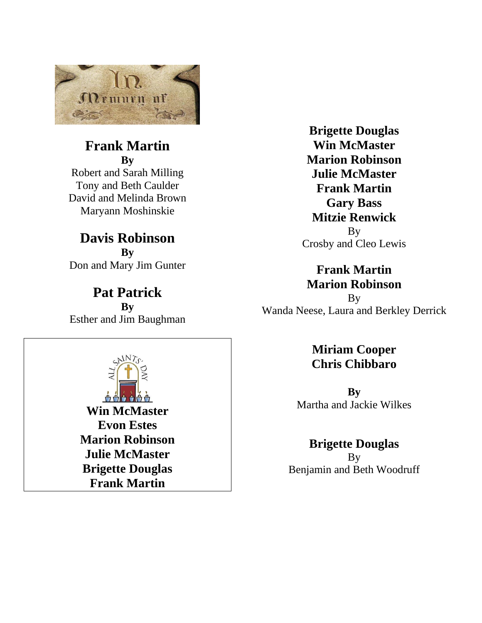

# **Frank Martin**

**By** Robert and Sarah Milling Tony and Beth Caulder David and Melinda Brown Maryann Moshinskie

## **Davis Robinson By** Don and Mary Jim Gunter

**Pat Patrick By** Esther and Jim Baughman



**Brigette Douglas Win McMaster Marion Robinson Julie McMaster Frank Martin Gary Bass Mitzie Renwick** By Crosby and Cleo Lewis

## **Frank Martin Marion Robinson**

By Wanda Neese, Laura and Berkley Derrick

## **Miriam Cooper Chris Chibbaro**

**By** Martha and Jackie Wilkes

## **Brigette Douglas**

By Benjamin and Beth Woodruff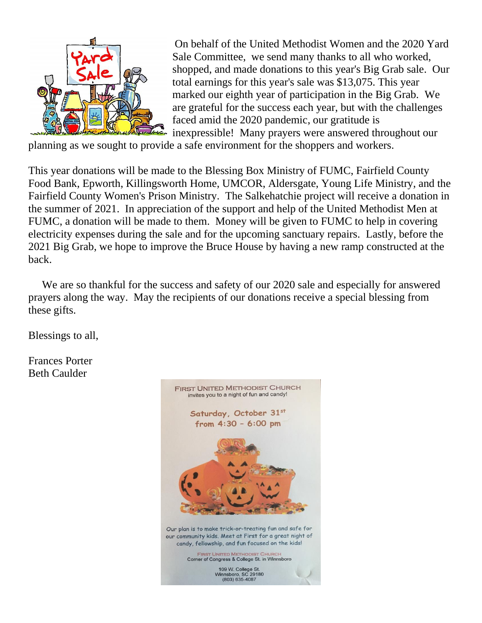

On behalf of the United Methodist Women and the 2020 Yard Sale Committee, we send many thanks to all who worked, shopped, and made donations to this year's Big Grab sale. Our total earnings for this year's sale was \$13,075. This year marked our eighth year of participation in the Big Grab. We are grateful for the success each year, but with the challenges faced amid the 2020 pandemic, our gratitude is inexpressible! Many prayers were answered throughout our

planning as we sought to provide a safe environment for the shoppers and workers.

This year donations will be made to the Blessing Box Ministry of FUMC, Fairfield County Food Bank, Epworth, Killingsworth Home, UMCOR, Aldersgate, Young Life Ministry, and the Fairfield County Women's Prison Ministry. The Salkehatchie project will receive a donation in the summer of 2021. In appreciation of the support and help of the United Methodist Men at FUMC, a donation will be made to them. Money will be given to FUMC to help in covering electricity expenses during the sale and for the upcoming sanctuary repairs. Lastly, before the 2021 Big Grab, we hope to improve the Bruce House by having a new ramp constructed at the back.

We are so thankful for the success and safety of our 2020 sale and especially for answered prayers along the way. May the recipients of our donations receive a special blessing from these gifts.

Blessings to all,

Frances Porter Beth Caulder

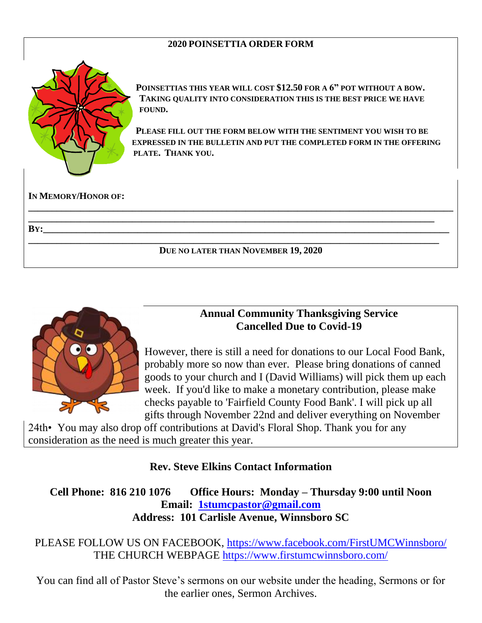#### **2020 POINSETTIA ORDER FORM**



**IN MEMORY/HONOR OF:**

**POINSETTIAS THIS YEAR WILL COST \$12.50 FOR A 6" POT WITHOUT A BOW. TAKING QUALITY INTO CONSIDERATION THIS IS THE BEST PRICE WE HAVE FOUND.** 

**PLEASE FILL OUT THE FORM BELOW WITH THE SENTIMENT YOU WISH TO BE EXPRESSED IN THE BULLETIN AND PUT THE COMPLETED FORM IN THE OFFERING PLATE. THANK YOU.**

#### **DUE NO LATER THAN NOVEMBER 19, 2020**

**\_\_\_\_\_\_\_\_\_\_\_\_\_\_\_\_\_\_\_\_\_\_\_\_\_\_\_\_\_\_\_\_\_\_\_\_\_\_\_\_\_\_\_\_\_\_\_\_\_\_\_\_\_\_\_\_\_\_\_\_\_\_\_\_\_\_\_\_\_\_\_\_\_\_\_\_\_\_\_\_\_\_\_\_\_\_\_\_\_\_ \_\_\_\_\_\_\_\_\_\_\_\_\_\_\_\_\_\_\_\_\_\_\_\_\_\_\_\_\_\_\_\_\_\_\_\_\_\_\_\_\_\_\_\_\_\_\_\_\_\_\_\_\_\_\_\_\_\_\_\_\_\_\_\_\_\_\_\_\_\_\_\_\_\_\_\_\_\_\_\_\_\_\_\_\_\_ BY:\_\_\_\_\_\_\_\_\_\_\_\_\_\_\_\_\_\_\_\_\_\_\_\_\_\_\_\_\_\_\_\_\_\_\_\_\_\_\_\_\_\_\_\_\_\_\_\_\_\_\_\_\_\_\_\_\_\_\_\_\_\_\_\_\_\_\_\_\_\_\_\_\_\_\_\_\_\_\_\_\_\_\_\_\_\_ \_\_\_\_\_\_\_\_\_\_\_\_\_\_\_\_\_\_\_\_\_\_\_\_\_\_\_\_\_\_\_\_\_\_\_\_\_\_\_\_\_\_\_\_\_\_\_\_\_\_\_\_\_\_\_\_\_\_\_\_\_\_\_\_\_\_\_\_\_\_\_\_\_\_\_\_\_\_\_\_\_\_\_\_\_\_\_**



### **Annual Community Thanksgiving Service Cancelled Due to Covid-19**

However, there is still a need for donations to our Local Food Bank, probably more so now than ever. Please bring donations of canned goods to your church and I (David Williams) will pick them up each week. If you'd like to make a monetary contribution, please make checks payable to 'Fairfield County Food Bank'. I will pick up all gifts through November 22nd and deliver everything on November

24th• You may also drop off contributions at David's Floral Shop. Thank you for any consideration as the need is much greater this year.

### **Rev. Steve Elkins Contact Information**

**Cell Phone: 816 210 1076 Office Hours: Monday – Thursday 9:00 until Noon Email: [1stumcpastor@gmail.com](mailto:1stumcpastor@gmail.com) Address: 101 Carlisle Avenue, Winnsboro SC**

PLEASE FOLLOW US ON FACEBOOK,<https://www.facebook.com/FirstUMCWinnsboro/> THE CHURCH WEBPAGE<https://www.firstumcwinnsboro.com/>

You can find all of Pastor Steve's sermons on our website under the heading, Sermons or for the earlier ones, Sermon Archives.